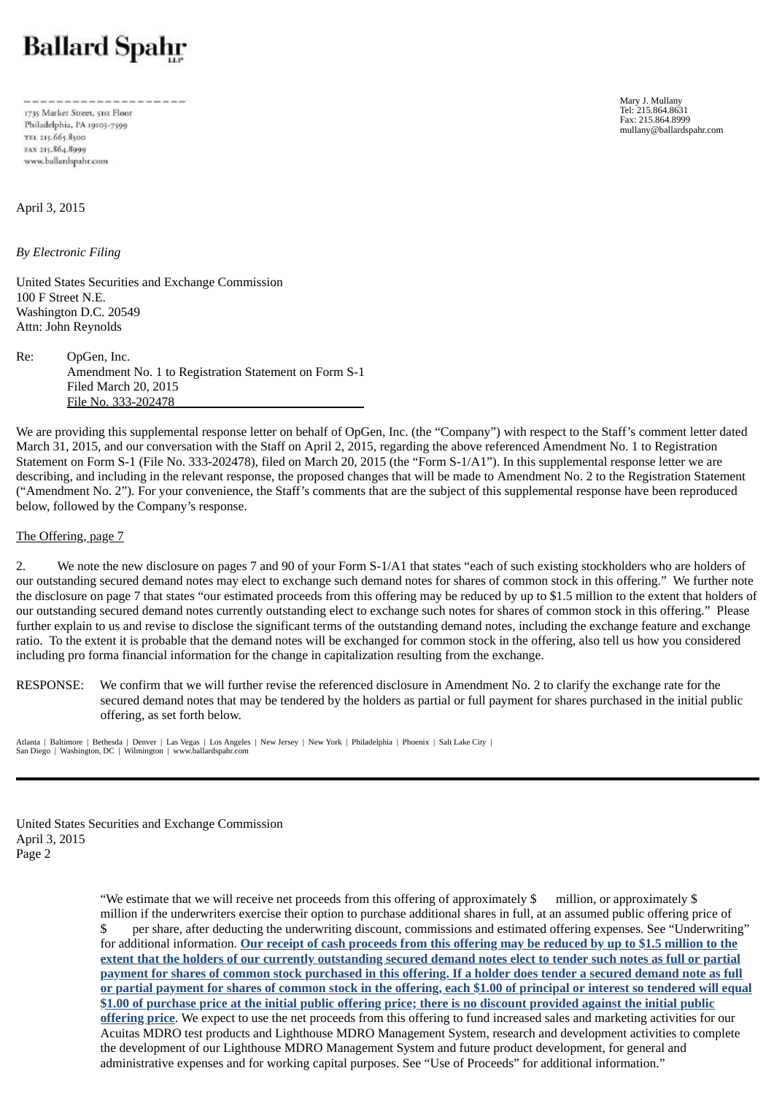# **Ballard Spahr**

1735 Market Street, 51st Floor Philadelphia, PA 19103-7599 TEL 215.665.8500 FAX 215.864.8999 www.ballardspahr.com

April 3, 2015

*By Electronic Filing*

United States Securities and Exchange Commission 100 F Street N.E. Washington D.C. 20549 Attn: John Reynolds

Re: OpGen, Inc. Amendment No. 1 to Registration Statement on Form S-1 Filed March 20, 2015 File No. 333-202478

We are providing this supplemental response letter on behalf of OpGen, Inc. (the "Company") with respect to the Staff's comment letter dated March 31, 2015, and our conversation with the Staff on April 2, 2015, regarding the above referenced Amendment No. 1 to Registration Statement on Form S-1 (File No. 333-202478), filed on March 20, 2015 (the "Form S-1/A1"). In this supplemental response letter we are describing, and including in the relevant response, the proposed changes that will be made to Amendment No. 2 to the Registration Statement ("Amendment No. 2"). For your convenience, the Staff's comments that are the subject of this supplemental response have been reproduced below, followed by the Company's response.

The Offering, page 7

2. We note the new disclosure on pages 7 and 90 of your Form S-1/A1 that states "each of such existing stockholders who are holders of our outstanding secured demand notes may elect to exchange such demand notes for shares of common stock in this offering." We further note the disclosure on page 7 that states "our estimated proceeds from this offering may be reduced by up to \$1.5 million to the extent that holders of our outstanding secured demand notes currently outstanding elect to exchange such notes for shares of common stock in this offering." Please further explain to us and revise to disclose the significant terms of the outstanding demand notes, including the exchange feature and exchange ratio. To the extent it is probable that the demand notes will be exchanged for common stock in the offering, also tell us how you considered including pro forma financial information for the change in capitalization resulting from the exchange.

RESPONSE: We confirm that we will further revise the referenced disclosure in Amendment No. 2 to clarify the exchange rate for the secured demand notes that may be tendered by the holders as partial or full payment for shares purchased in the initial public offering, as set forth below.

Atlanta | Baltimore | Bethesda | Denver | Las Vegas | Los Angeles | New Jersey | New York | Philadelphia | Phoenix | Salt Lake City | San Diego | Washington, DC | Wilmington | www.ballardspahr.com

United States Securities and Exchange Commission April 3, 2015 Page 2

> "We estimate that we will receive net proceeds from this offering of approximately  $\frac{1}{2}$  million, or approximately  $\frac{1}{2}$ million if the underwriters exercise their option to purchase additional shares in full, at an assumed public offering price of \$ per share*,* after deducting the underwriting discount, commissions and estimated offering expenses. See "Underwriting" for additional information. Our receipt of cash proceeds from this offering may be reduced by up to \$1.5 million to the extent that the holders of our currently outstanding secured demand notes elect to tender such notes as full or partial payment for shares of common stock purchased in this offering. If a holder does tender a secured demand note as full or partial payment for shares of common stock in the offering, each \$1.00 of principal or interest so tendered will equal \$1.00 of purchase price at the initial public offering price; there is no discount provided against the initial public **offering price**. We expect to use the net proceeds from this offering to fund increased sales and marketing activities for our Acuitas MDRO test products and Lighthouse MDRO Management System, research and development activities to complete the development of our Lighthouse MDRO Management System and future product development, for general and administrative expenses and for working capital purposes. See "Use of Proceeds" for additional information."

Mary J. Mullany Tel: 215.864.8631 Fax: 215.864.8999 mullany@ballardspahr.com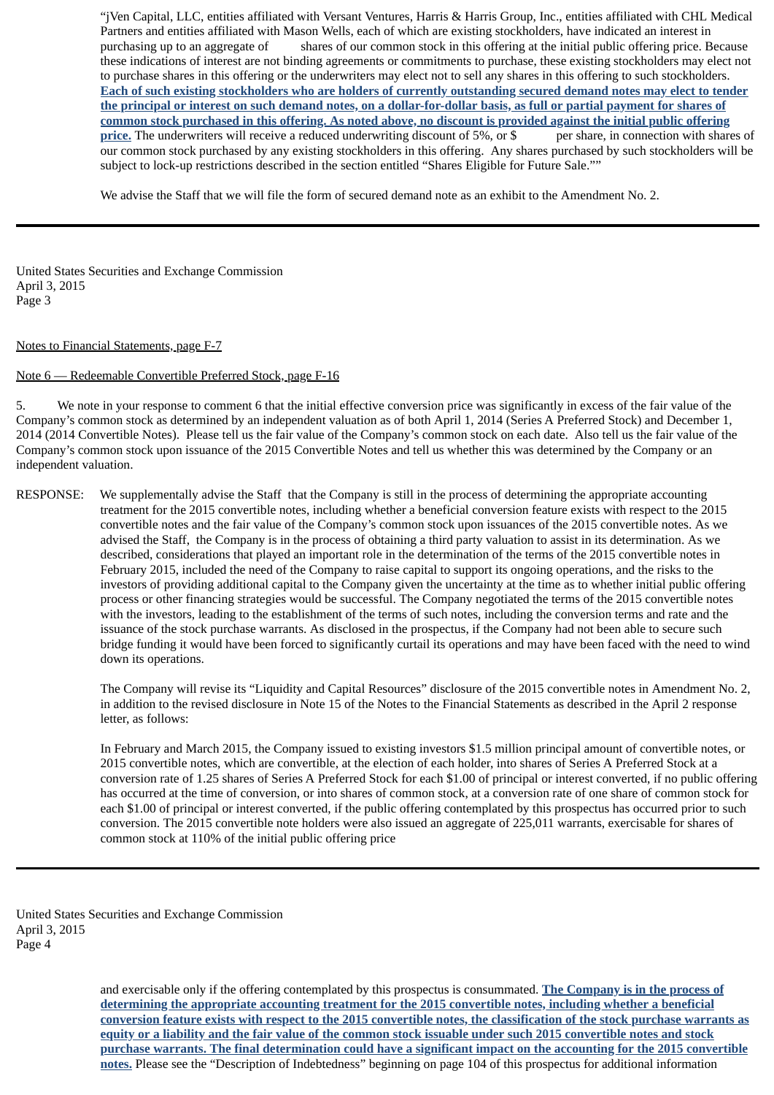"jVen Capital, LLC, entities affiliated with Versant Ventures, Harris & Harris Group, Inc., entities affiliated with CHL Medical Partners and entities affiliated with Mason Wells, each of which are existing stockholders, have indicated an interest in purchasing up to an aggregate of shares of our common stock in this offering at the initial public offering price. Because these indications of interest are not binding agreements or commitments to purchase, these existing stockholders may elect not to purchase shares in this offering or the underwriters may elect not to sell any shares in this offering to such stockholders. Each of such existing stockholders who are holders of currently outstanding secured demand notes may elect to tender the principal or interest on such demand notes, on a dollar-for-dollar basis, as full or partial payment for shares of common stock purchased in this offering. As noted above, no discount is provided against the initial public offering **price.** The underwriters will receive a reduced underwriting discount of 5%, or \$ per share, in connection with shares of our common stock purchased by any existing stockholders in this offering. Any shares purchased by such stockholders will be subject to lock-up restrictions described in the section entitled "Shares Eligible for Future Sale.""

We advise the Staff that we will file the form of secured demand note as an exhibit to the Amendment No. 2.

United States Securities and Exchange Commission April 3, 2015 Page 3

## Notes to Financial Statements, page F-7

### Note 6 — Redeemable Convertible Preferred Stock, page F-16

5. We note in your response to comment 6 that the initial effective conversion price was significantly in excess of the fair value of the Company's common stock as determined by an independent valuation as of both April 1, 2014 (Series A Preferred Stock) and December 1, 2014 (2014 Convertible Notes). Please tell us the fair value of the Company's common stock on each date. Also tell us the fair value of the Company's common stock upon issuance of the 2015 Convertible Notes and tell us whether this was determined by the Company or an independent valuation.

RESPONSE: We supplementally advise the Staff that the Company is still in the process of determining the appropriate accounting treatment for the 2015 convertible notes, including whether a beneficial conversion feature exists with respect to the 2015 convertible notes and the fair value of the Company's common stock upon issuances of the 2015 convertible notes. As we advised the Staff, the Company is in the process of obtaining a third party valuation to assist in its determination. As we described, considerations that played an important role in the determination of the terms of the 2015 convertible notes in February 2015, included the need of the Company to raise capital to support its ongoing operations, and the risks to the investors of providing additional capital to the Company given the uncertainty at the time as to whether initial public offering process or other financing strategies would be successful. The Company negotiated the terms of the 2015 convertible notes with the investors, leading to the establishment of the terms of such notes, including the conversion terms and rate and the issuance of the stock purchase warrants. As disclosed in the prospectus, if the Company had not been able to secure such bridge funding it would have been forced to significantly curtail its operations and may have been faced with the need to wind down its operations.

> The Company will revise its "Liquidity and Capital Resources" disclosure of the 2015 convertible notes in Amendment No. 2, in addition to the revised disclosure in Note 15 of the Notes to the Financial Statements as described in the April 2 response letter, as follows:

In February and March 2015, the Company issued to existing investors \$1.5 million principal amount of convertible notes, or 2015 convertible notes, which are convertible, at the election of each holder, into shares of Series A Preferred Stock at a conversion rate of 1.25 shares of Series A Preferred Stock for each \$1.00 of principal or interest converted, if no public offering has occurred at the time of conversion, or into shares of common stock, at a conversion rate of one share of common stock for each \$1.00 of principal or interest converted, if the public offering contemplated by this prospectus has occurred prior to such conversion. The 2015 convertible note holders were also issued an aggregate of 225,011 warrants, exercisable for shares of common stock at 110% of the initial public offering price

United States Securities and Exchange Commission April 3, 2015 Page 4

> and exercisable only if the offering contemplated by this prospectus is consummated. **The Company is in the process of determining the appropriate accounting treatment for the 2015 convertible notes, including whether a beneficial** conversion feature exists with respect to the 2015 convertible notes, the classification of the stock purchase warrants as equity or a liability and the fair value of the common stock issuable under such 2015 convertible notes and stock purchase warrants. The final determination could have a significant impact on the accounting for the 2015 convertible **notes.** Please see the "Description of Indebtedness" beginning on page 104 of this prospectus for additional information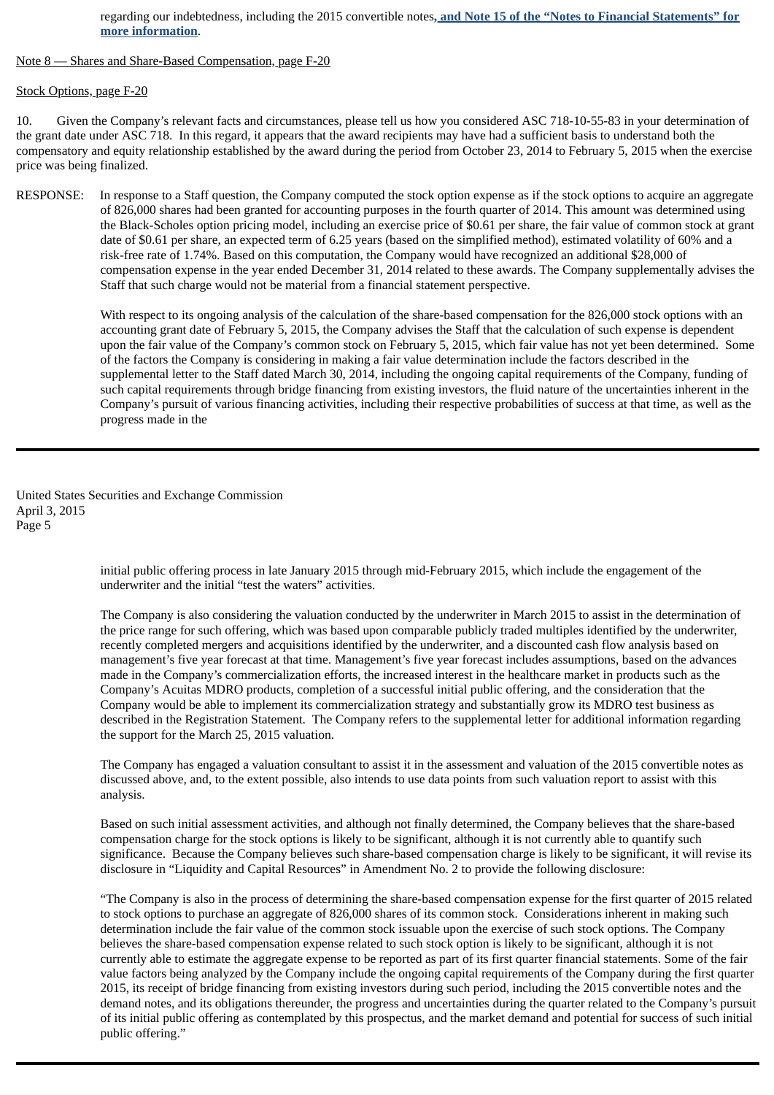### regarding our indebtedness, including the 2015 convertible notes**, and Note 15 of the "Notes to Financial Statements" for more information**.

#### Note 8 — Shares and Share-Based Compensation, page F-20

## Stock Options, page F-20

10. Given the Company's relevant facts and circumstances, please tell us how you considered ASC 718-10-55-83 in your determination of the grant date under ASC 718. In this regard, it appears that the award recipients may have had a sufficient basis to understand both the compensatory and equity relationship established by the award during the period from October 23, 2014 to February 5, 2015 when the exercise price was being finalized.

RESPONSE: In response to a Staff question, the Company computed the stock option expense as if the stock options to acquire an aggregate of 826,000 shares had been granted for accounting purposes in the fourth quarter of 2014. This amount was determined using the Black-Scholes option pricing model, including an exercise price of \$0.61 per share, the fair value of common stock at grant date of \$0.61 per share, an expected term of 6.25 years (based on the simplified method), estimated volatility of 60% and a risk-free rate of 1.74%. Based on this computation, the Company would have recognized an additional \$28,000 of compensation expense in the year ended December 31, 2014 related to these awards. The Company supplementally advises the Staff that such charge would not be material from a financial statement perspective.

> With respect to its ongoing analysis of the calculation of the share-based compensation for the 826,000 stock options with an accounting grant date of February 5, 2015, the Company advises the Staff that the calculation of such expense is dependent upon the fair value of the Company's common stock on February 5, 2015, which fair value has not yet been determined. Some of the factors the Company is considering in making a fair value determination include the factors described in the supplemental letter to the Staff dated March 30, 2014, including the ongoing capital requirements of the Company, funding of such capital requirements through bridge financing from existing investors, the fluid nature of the uncertainties inherent in the Company's pursuit of various financing activities, including their respective probabilities of success at that time, as well as the progress made in the

United States Securities and Exchange Commission April 3, 2015 Page 5

> initial public offering process in late January 2015 through mid-February 2015, which include the engagement of the underwriter and the initial "test the waters" activities.

The Company is also considering the valuation conducted by the underwriter in March 2015 to assist in the determination of the price range for such offering, which was based upon comparable publicly traded multiples identified by the underwriter, recently completed mergers and acquisitions identified by the underwriter, and a discounted cash flow analysis based on management's five year forecast at that time. Management's five year forecast includes assumptions, based on the advances made in the Company's commercialization efforts, the increased interest in the healthcare market in products such as the Company's Acuitas MDRO products, completion of a successful initial public offering, and the consideration that the Company would be able to implement its commercialization strategy and substantially grow its MDRO test business as described in the Registration Statement. The Company refers to the supplemental letter for additional information regarding the support for the March 25, 2015 valuation.

The Company has engaged a valuation consultant to assist it in the assessment and valuation of the 2015 convertible notes as discussed above, and, to the extent possible, also intends to use data points from such valuation report to assist with this analysis.

Based on such initial assessment activities, and although not finally determined, the Company believes that the share-based compensation charge for the stock options is likely to be significant, although it is not currently able to quantify such significance. Because the Company believes such share-based compensation charge is likely to be significant, it will revise its disclosure in "Liquidity and Capital Resources" in Amendment No. 2 to provide the following disclosure:

"The Company is also in the process of determining the share-based compensation expense for the first quarter of 2015 related to stock options to purchase an aggregate of 826,000 shares of its common stock. Considerations inherent in making such determination include the fair value of the common stock issuable upon the exercise of such stock options. The Company believes the share-based compensation expense related to such stock option is likely to be significant, although it is not currently able to estimate the aggregate expense to be reported as part of its first quarter financial statements. Some of the fair value factors being analyzed by the Company include the ongoing capital requirements of the Company during the first quarter 2015, its receipt of bridge financing from existing investors during such period, including the 2015 convertible notes and the demand notes, and its obligations thereunder, the progress and uncertainties during the quarter related to the Company's pursuit of its initial public offering as contemplated by this prospectus, and the market demand and potential for success of such initial public offering."